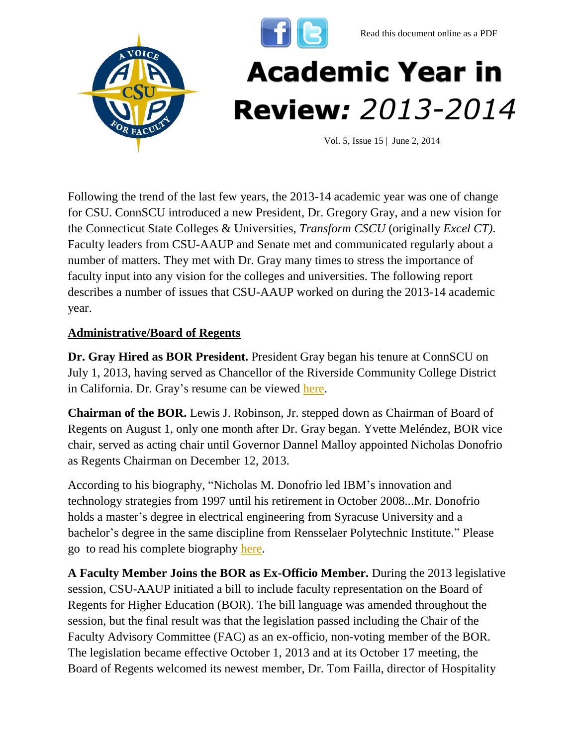



Following the trend of the last few years, the 2013-14 academic year was one of change for CSU. ConnSCU introduced a new President, Dr. Gregory Gray, and a new vision for the Connecticut State Colleges & Universities, *Transform CSCU* (originally *Excel CT)*. Faculty leaders from CSU-AAUP and Senate met and communicated regularly about a number of matters. They met with Dr. Gray many times to stress the importance of faculty input into any vision for the colleges and universities. The following report describes a number of issues that CSU-AAUP worked on during the 2013-14 academic year.

## **Administrative/Board of Regents**

**Dr. Gray Hired as BOR President.** President Gray began his tenure at ConnSCU on July 1, 2013, having served as Chancellor of the Riverside Community College District in California. Dr. Gray's resume can be viewed [here.](http://www.ct.edu/files/pdfs/resume-Gray.pdf)

**Chairman of the BOR.** Lewis J. Robinson, Jr. stepped down as Chairman of Board of Regents on August 1, only one month after Dr. Gray began. Yvette Meléndez, BOR vice chair, served as acting chair until Governor Dannel Malloy appointed Nicholas Donofrio as Regents Chairman on December 12, 2013.

According to his biography, "Nicholas M. Donofrio led IBM's innovation and technology strategies from 1997 until his retirement in October 2008...Mr. Donofrio holds a master's degree in electrical engineering from Syracuse University and a bachelor's degree in the same discipline from Rensselaer Polytechnic Institute." Please go to read his complete biography [here.](http://www.ct.edu/regents/members/nicholas_m._donofrio)

**A Faculty Member Joins the BOR as Ex-Officio Member.** During the 2013 legislative session, CSU-AAUP initiated a bill to include faculty representation on the Board of Regents for Higher Education (BOR). The bill language was amended throughout the session, but the final result was that the legislation passed including the Chair of the Faculty Advisory Committee (FAC) as an ex-officio, non-voting member of the BOR. The legislation became effective October 1, 2013 and at its October 17 meeting, the Board of Regents welcomed its newest member, Dr. Tom Failla, director of Hospitality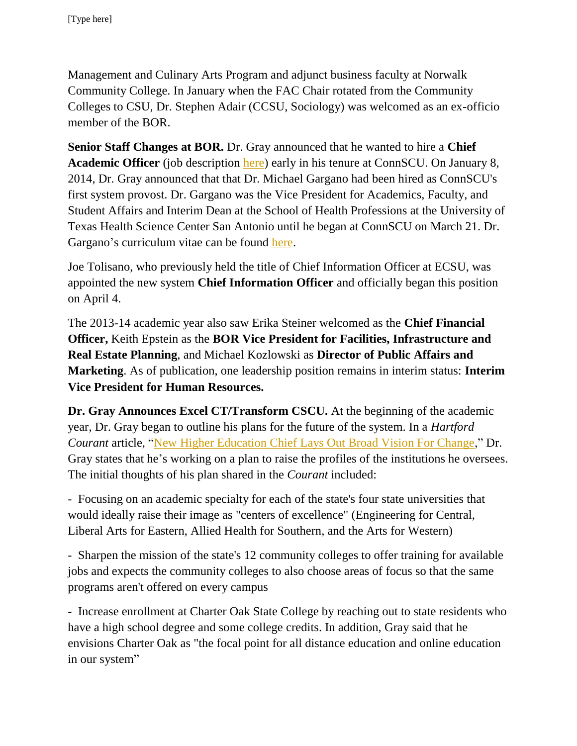Management and Culinary Arts Program and adjunct business faculty at Norwalk Community College. In January when the FAC Chair rotated from the Community Colleges to CSU, Dr. Stephen Adair (CCSU, Sociology) was welcomed as an ex-officio member of the BOR.

**Senior Staff Changes at BOR.** Dr. Gray announced that he wanted to hire a **Chief Academic Officer** (job description [here\)](http://www.ct.edu/files/pdfs/job-Provost.pdf) early in his tenure at ConnSCU. On January 8, 2014, Dr. Gray announced that that Dr. Michael Gargano had been hired as ConnSCU's first system provost. Dr. Gargano was the Vice President for Academics, Faculty, and Student Affairs and Interim Dean at the School of Health Professions at the University of Texas Health Science Center San Antonio until he began at ConnSCU on March 21. Dr. Gargano's curriculum vitae can be found [here.](http://www.csuaaup.org/wp-content/uploads/2014/01/GarganoCV.pdf)

Joe Tolisano, who previously held the title of Chief Information Officer at ECSU, was appointed the new system **Chief Information Officer** and officially began this position on April 4.

The 2013-14 academic year also saw Erika Steiner welcomed as the **Chief Financial Officer,** Keith Epstein as the **BOR Vice President for Facilities, Infrastructure and Real Estate Planning**, and Michael Kozlowski as **Director of Public Affairs and Marketing**. As of publication, one leadership position remains in interim status: **Interim Vice President for Human Resources.**

**Dr. Gray Announces Excel CT/Transform CSCU.** At the beginning of the academic year, Dr. Gray began to outline his plans for the future of the system. In a *Hartford Courant* article, ["New Higher Education Chief Lays Out Broad Vision For Change,](http://www.courant.com/news/education/hc-regents-new-plan-0829-20130828,0,7120446,full.story)" Dr. Gray states that he's working on a plan to raise the profiles of the institutions he oversees. The initial thoughts of his plan shared in the *Courant* included:

- Focusing on an academic specialty for each of the state's four state universities that would ideally raise their image as "centers of excellence" (Engineering for Central, Liberal Arts for Eastern, Allied Health for Southern, and the Arts for Western)

- Sharpen the mission of the state's 12 community colleges to offer training for available jobs and expects the community colleges to also choose areas of focus so that the same programs aren't offered on every campus

- Increase enrollment at Charter Oak State College by reaching out to state residents who have a high school degree and some college credits. In addition, Gray said that he envisions Charter Oak as "the focal point for all distance education and online education in our system"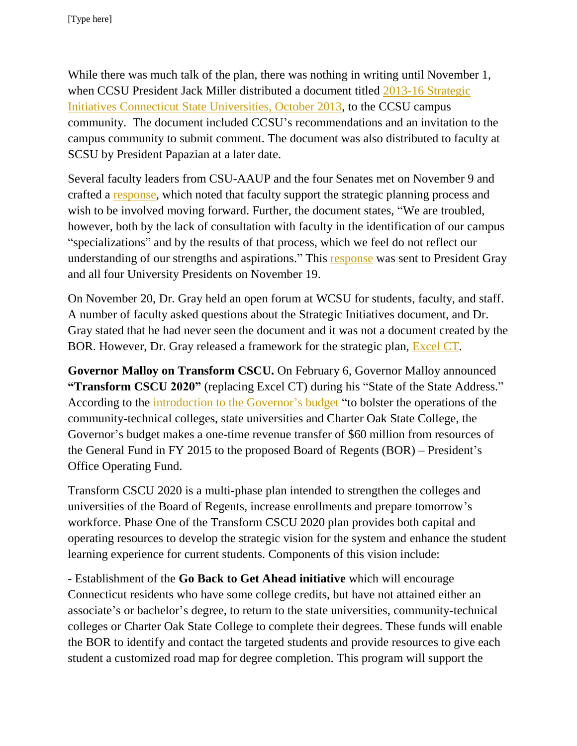While there was much talk of the plan, there was nothing in writing until November 1, when CCSU President Jack Miller distributed a document titled [2013-16 Strategic](http://www.csuaaup.org/wp-content/uploads/2013/11/ConnSCU-Strategic-Plan.pdf)  [Initiatives Connecticut State Universities, October 2013,](http://www.csuaaup.org/wp-content/uploads/2013/11/ConnSCU-Strategic-Plan.pdf) to the CCSU campus community. The document included CCSU's recommendations and an invitation to the campus community to submit comment. The document was also distributed to faculty at SCSU by President Papazian at a later date.

Several faculty leaders from CSU-AAUP and the four Senates met on November 9 and crafted a [response,](http://www.csuaaup.org/wp-content/uploads/2013/12/On-CSU-Strategic-Initiatives-111913.pdf) which noted that faculty support the strategic planning process and wish to be involved moving forward. Further, the document states, "We are troubled, however, both by the lack of consultation with faculty in the identification of our campus "specializations" and by the results of that process, which we feel do not reflect our understanding of our strengths and aspirations." This **response** was sent to President Gray and all four University Presidents on November 19.

On November 20, Dr. Gray held an open forum at WCSU for students, faculty, and staff. A number of faculty asked questions about the Strategic Initiatives document, and Dr. Gray stated that he had never seen the document and it was not a document created by the BOR. However, Dr. Gray released a framework for the strategic plan, [Excel CT.](http://www.csuaaup.org/wp-content/uploads/2013/11/Excel-CT-Plan.pdf)

**Governor Malloy on Transform CSCU.** On February 6, Governor Malloy announced **"Transform CSCU 2020"** (replacing Excel CT) during his "State of the State Address." According to the [introduction to the Governor's budget](http://www.csuaaup.org/wp-content/uploads/2014/02/IntroGovBudget.pdf) "to bolster the operations of the community-technical colleges, state universities and Charter Oak State College, the Governor's budget makes a one-time revenue transfer of \$60 million from resources of the General Fund in FY 2015 to the proposed Board of Regents (BOR) – President's Office Operating Fund.

Transform CSCU 2020 is a multi-phase plan intended to strengthen the colleges and universities of the Board of Regents, increase enrollments and prepare tomorrow's workforce. Phase One of the Transform CSCU 2020 plan provides both capital and operating resources to develop the strategic vision for the system and enhance the student learning experience for current students. Components of this vision include:

- Establishment of the **Go Back to Get Ahead initiative** which will encourage Connecticut residents who have some college credits, but have not attained either an associate's or bachelor's degree, to return to the state universities, community-technical colleges or Charter Oak State College to complete their degrees. These funds will enable the BOR to identify and contact the targeted students and provide resources to give each student a customized road map for degree completion. This program will support the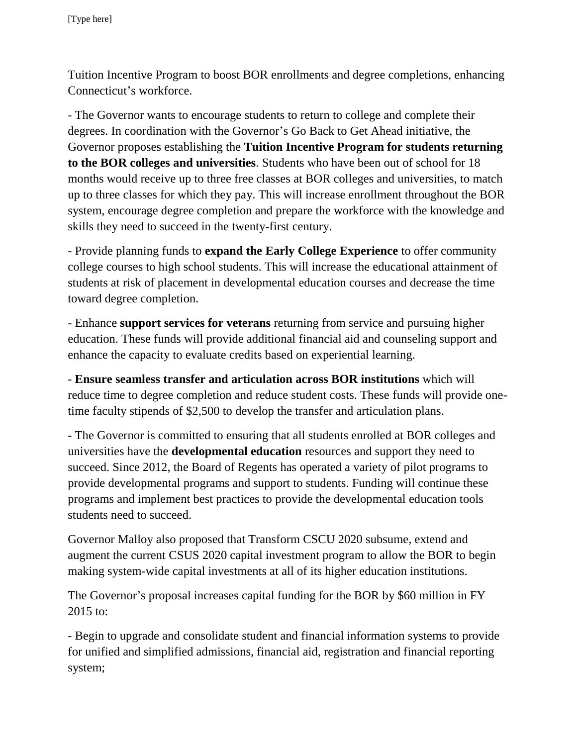Tuition Incentive Program to boost BOR enrollments and degree completions, enhancing Connecticut's workforce.

- The Governor wants to encourage students to return to college and complete their degrees. In coordination with the Governor's Go Back to Get Ahead initiative, the Governor proposes establishing the **Tuition Incentive Program for students returning to the BOR colleges and universities**. Students who have been out of school for 18 months would receive up to three free classes at BOR colleges and universities, to match up to three classes for which they pay. This will increase enrollment throughout the BOR system, encourage degree completion and prepare the workforce with the knowledge and skills they need to succeed in the twenty-first century.

- Provide planning funds to **expand the Early College Experience** to offer community college courses to high school students. This will increase the educational attainment of students at risk of placement in developmental education courses and decrease the time toward degree completion.

- Enhance **support services for veterans** returning from service and pursuing higher education. These funds will provide additional financial aid and counseling support and enhance the capacity to evaluate credits based on experiential learning.

- **Ensure seamless transfer and articulation across BOR institutions** which will reduce time to degree completion and reduce student costs. These funds will provide onetime faculty stipends of \$2,500 to develop the transfer and articulation plans.

- The Governor is committed to ensuring that all students enrolled at BOR colleges and universities have the **developmental education** resources and support they need to succeed. Since 2012, the Board of Regents has operated a variety of pilot programs to provide developmental programs and support to students. Funding will continue these programs and implement best practices to provide the developmental education tools students need to succeed.

Governor Malloy also proposed that Transform CSCU 2020 subsume, extend and augment the current CSUS 2020 capital investment program to allow the BOR to begin making system-wide capital investments at all of its higher education institutions.

The Governor's proposal increases capital funding for the BOR by \$60 million in FY 2015 to:

- Begin to upgrade and consolidate student and financial information systems to provide for unified and simplified admissions, financial aid, registration and financial reporting system;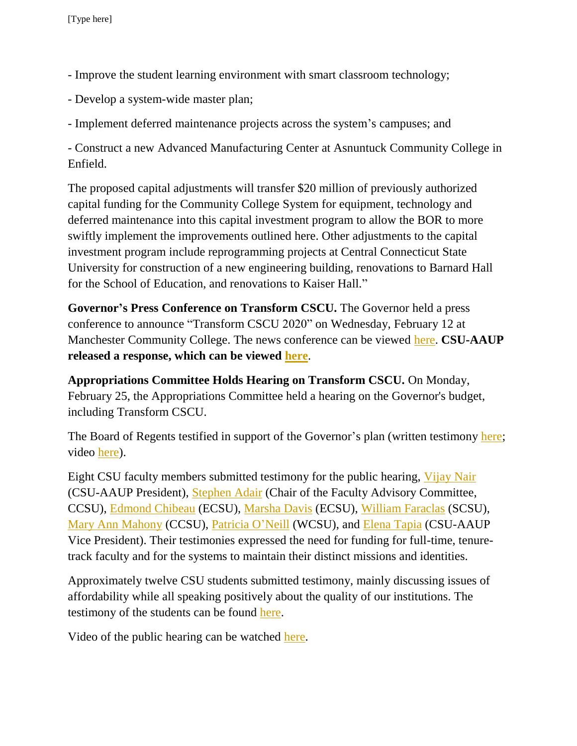- Improve the student learning environment with smart classroom technology;
- Develop a system-wide master plan;

- Implement deferred maintenance projects across the system's campuses; and

- Construct a new Advanced Manufacturing Center at Asnuntuck Community College in Enfield.

The proposed capital adjustments will transfer \$20 million of previously authorized capital funding for the Community College System for equipment, technology and deferred maintenance into this capital investment program to allow the BOR to more swiftly implement the improvements outlined here. Other adjustments to the capital investment program include reprogramming projects at Central Connecticut State University for construction of a new engineering building, renovations to Barnard Hall for the School of Education, and renovations to Kaiser Hall."

**Governor's Press Conference on Transform CSCU.** The Governor held a press conference to announce "Transform CSCU 2020" on Wednesday, February 12 at Manchester Community College. The news conference can be viewed [here.](http://www.ct-n.com/ctnplayer.asp?odID=9919) **CSU-AAUP released a response, which can be viewed [here](http://www.csuaaup.org/wp-content/uploads/2014/02/Transform-CSCU-2020-Fact-Sheet-Final.pdf)**.

**Appropriations Committee Holds Hearing on Transform CSCU.** On Monday, February 25, the Appropriations Committee held a hearing on the Governor's budget, including Transform CSCU.

The Board of Regents testified in support of the Governor's plan (written testimony [here;](http://www.cga.ct.gov/2014/APPdata/Tmy/2014HB-05030-R000224-BOR%20-%20CCSU%20-%20Gray,%20Dr.%20Gregory-TMY.PDF) video [here\)](http://www.ct-n.com/ctnplayer.asp?odID=9966).

Eight CSU faculty members submitted testimony for the public hearing, [Vijay Nair](http://www.cga.ct.gov/2014/APPdata/Tmy/2014HB-05030-R000224-BOR%20-%20CSU-AAUP%20-%20Nair,%20Vijay-TMY.PDF) (CSU-AAUP President), [Stephen Adair](http://www.cga.ct.gov/2014/APPdata/Tmy/2014HB-05030-R000224-BOR%20-%20CCSU%20-%20Adair,%20Stephen-TMY.PDF) (Chair of the Faculty Advisory Committee, CCSU), [Edmond Chibeau](http://www.cga.ct.gov/2014/APPdata/Tmy/2014HB-05030-R000224-BOR%20-%20ECSU%20-%20Chibeau,%20Edmond-TMY.PDF) (ECSU), [Marsha Davis](http://www.cga.ct.gov/2014/APPdata/Tmy/2014HB-05030-R000224-BOR%20-%20ECSU%20-%20Davis,%20Dr.%20Marsha-TMY.PDF) (ECSU), [William Faraclas](http://www.cga.ct.gov/2014/APPdata/Tmy/2014HB-05030-R000224-BOR%20-%20SCSU%20-%20Faraclas,%20William-TMY.PDF) (SCSU), [Mary Ann Mahony](http://www.cga.ct.gov/2014/APPdata/Tmy/2014HB-05030-R000224-BOR%20-%20CCSU%20-%20Mahony,%20Mary%20Ann-TMY.PDF) (CCSU), [Patricia O'Neill](http://www.cga.ct.gov/2014/APPdata/Tmy/2014HB-05030-R000224-BOR%20-%20WCSU%20-%20WCSU-AAUP%20-%20O) (WCSU), and [Elena Tapia](http://www.cga.ct.gov/2014/APPdata/Tmy/2014HB-05030-R000224-BOR%20-%20CSU-AAUP,%20ECSU%20-%20Tapia,%20Elena-TMY.PDF) (CSU-AAUP Vice President). Their testimonies expressed the need for funding for full-time, tenuretrack faculty and for the systems to maintain their distinct missions and identities.

Approximately twelve CSU students submitted testimony, mainly discussing issues of affordability while all speaking positively about the quality of our institutions. The testimony of the students can be found [here.](http://www.cga.ct.gov/asp/menu/CommDocTmy.asp?comm_code=APP&date=02/24/2014)

Video of the public hearing can be watched [here.](http://www.ct-n.com/ctnplayer.asp?odID=9968)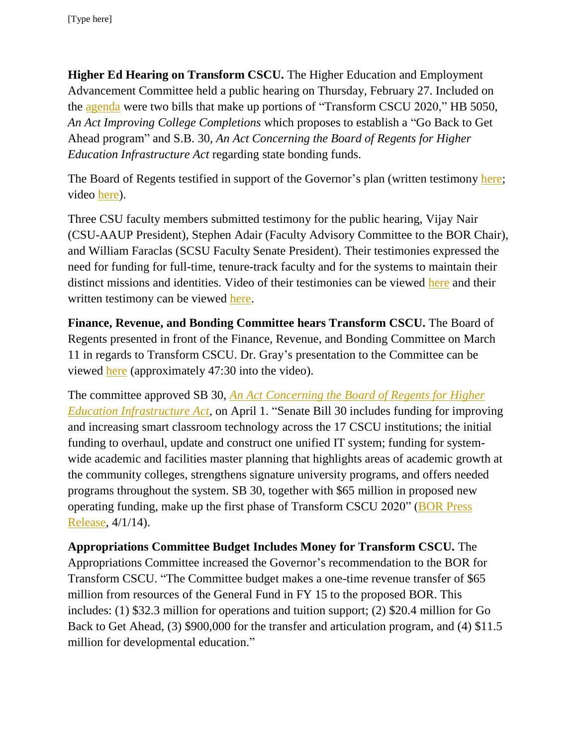**Higher Ed Hearing on Transform CSCU.** The Higher Education and Employment Advancement Committee held a public hearing on Thursday, February 27. Included on the [agenda](http://www.cga.ct.gov/2014/HEDdata/pha/2014PHA00227-R001030HED-PHA.htm) were two bills that make up portions of "Transform CSCU 2020," HB 5050, *An Act Improving College Completions* which proposes to establish a "Go Back to Get Ahead program" and S.B. 30, *An Act Concerning the Board of Regents for Higher Education Infrastructure Act* regarding state bonding funds.

The Board of Regents testified in support of the Governor's plan (written testimony [here;](http://www.cga.ct.gov/asp/menu/CommDocTmy.asp?comm_code=HED&date=02/27/2014) video [here\)](http://www.ct-n.com/ondemand.asp).

Three CSU faculty members submitted testimony for the public hearing, Vijay Nair (CSU-AAUP President), Stephen Adair (Faculty Advisory Committee to the BOR Chair), and William Faraclas (SCSU Faculty Senate President). Their testimonies expressed the need for funding for full-time, tenure-track faculty and for the systems to maintain their distinct missions and identities. Video of their testimonies can be viewed [here](http://www.ct-n.com/ondemand.asp) and their written testimony can be viewed [here.](http://www.cga.ct.gov/asp/menu/CommDocTmy.asp?comm_code=HED&date=02/27/2014)

**Finance, Revenue, and Bonding Committee hears Transform CSCU.** The Board of Regents presented in front of the Finance, Revenue, and Bonding Committee on March 11 in regards to Transform CSCU. Dr. Gray's presentation to the Committee can be viewed [here](http://www.ct-n.com/ctnplayer.asp?odID=10021) (approximately 47:30 into the video).

The committee approved SB 30, *[An Act Concerning the Board of Regents for Higher](http://www.cga.ct.gov/asp/cgabillstatus/cgabillstatus.asp?selBillType=Bill&bill_num=30&which_year=2014&SUBMIT1.x=0&SUBMIT1.y=0&SUBMIT1=Normal)  [Education Infrastructure Act](http://www.cga.ct.gov/asp/cgabillstatus/cgabillstatus.asp?selBillType=Bill&bill_num=30&which_year=2014&SUBMIT1.x=0&SUBMIT1.y=0&SUBMIT1=Normal)*, on April 1. "Senate Bill 30 includes funding for improving and increasing smart classroom technology across the 17 CSCU institutions; the initial funding to overhaul, update and construct one unified IT system; funding for systemwide academic and facilities master planning that highlights areas of academic growth at the community colleges, strengthens signature university programs, and offers needed programs throughout the system. SB 30, together with \$65 million in proposed new operating funding, make up the first phase of Transform CSCU 2020" [\(BOR Press](http://www.ct.edu/newsroom/transform_cscu_2020_funding_passes_committee_on_bipartisan_vote)  [Release,](http://www.ct.edu/newsroom/transform_cscu_2020_funding_passes_committee_on_bipartisan_vote) 4/1/14).

**Appropriations Committee Budget Includes Money for Transform CSCU.** The Appropriations Committee increased the Governor's recommendation to the BOR for Transform CSCU. "The Committee budget makes a one-time revenue transfer of \$65 million from resources of the General Fund in FY 15 to the proposed BOR. This includes: (1) \$32.3 million for operations and tuition support; (2) \$20.4 million for Go Back to Get Ahead, (3) \$900,000 for the transfer and articulation program, and (4) \$11.5 million for developmental education."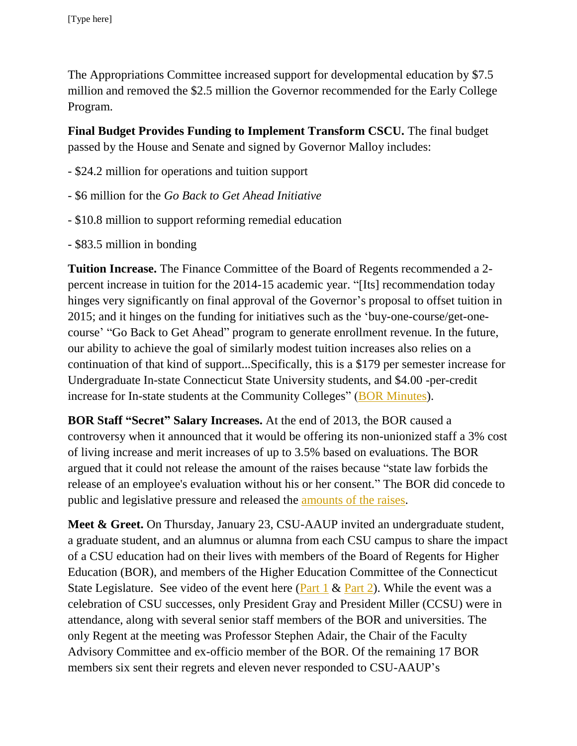The Appropriations Committee increased support for developmental education by \$7.5 million and removed the \$2.5 million the Governor recommended for the Early College Program.

**Final Budget Provides Funding to Implement Transform CSCU.** The final budget passed by the House and Senate and signed by Governor Malloy includes:

- \$24.2 million for operations and tuition support
- \$6 million for the *Go Back to Get Ahead Initiative*
- \$10.8 million to support reforming remedial education
- \$83.5 million in bonding

**Tuition Increase.** The Finance Committee of the Board of Regents recommended a 2 percent increase in tuition for the 2014-15 academic year. "[Its] recommendation today hinges very significantly on final approval of the Governor's proposal to offset tuition in 2015; and it hinges on the funding for initiatives such as the 'buy-one-course/get-onecourse' "Go Back to Get Ahead" program to generate enrollment revenue. In the future, our ability to achieve the goal of similarly modest tuition increases also relies on a continuation of that kind of support...Specifically, this is a \$179 per semester increase for Undergraduate In-state Connecticut State University students, and \$4.00 -per-credit increase for In-state students at the Community Colleges" [\(BOR Minutes\)](http://www.ct.edu/images/uploads/BOR-Minutes-03-13-2014.pdf?15034).

**BOR Staff "Secret" Salary Increases.** At the end of 2013, the BOR caused a controversy when it announced that it would be offering its non-unionized staff a 3% cost of living increase and merit increases of up to 3.5% based on evaluations. The BOR argued that it could not release the amount of the raises because "state law forbids the release of an employee's evaluation without his or her consent." The BOR did concede to public and legislative pressure and released the [amounts of the raises.](http://ctmirror.org/ct-state-college-system-discloses-merit-pay-hikes/)

**Meet & Greet.** On Thursday, January 23, CSU-AAUP invited an undergraduate student, a graduate student, and an alumnus or alumna from each CSU campus to share the impact of a CSU education had on their lives with members of the Board of Regents for Higher Education (BOR), and members of the Higher Education Committee of the Connecticut State Legislature. See video of the event here (Part  $1 \&$  [Part 2\)](http://www.youtube.com/watch?v=ar_EKEe74qQ). While the event was a celebration of CSU successes, only President Gray and President Miller (CCSU) were in attendance, along with several senior staff members of the BOR and universities. The only Regent at the meeting was Professor Stephen Adair, the Chair of the Faculty Advisory Committee and ex-officio member of the BOR. Of the remaining 17 BOR members six sent their regrets and eleven never responded to CSU-AAUP's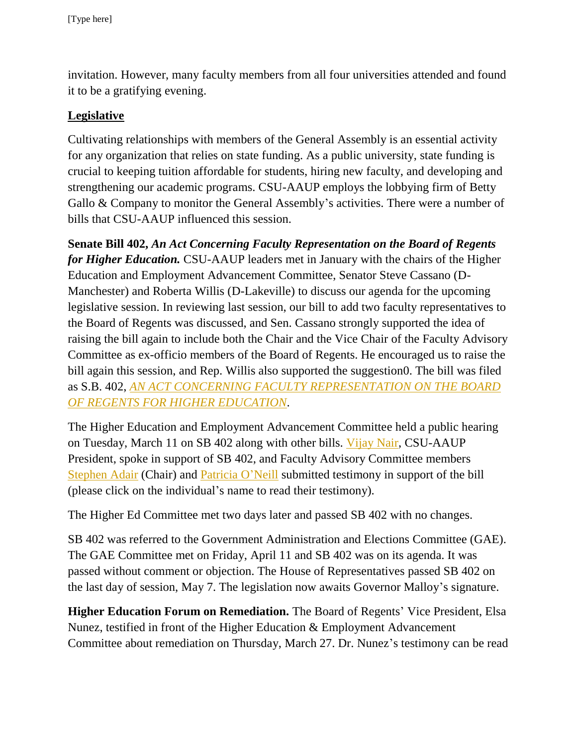invitation. However, many faculty members from all four universities attended and found it to be a gratifying evening.

## **Legislative**

Cultivating relationships with members of the General Assembly is an essential activity for any organization that relies on state funding. As a public university, state funding is crucial to keeping tuition affordable for students, hiring new faculty, and developing and strengthening our academic programs. CSU-AAUP employs the lobbying firm of Betty Gallo & Company to monitor the General Assembly's activities. There were a number of bills that CSU-AAUP influenced this session.

**Senate Bill 402,** *An Act Concerning Faculty Representation on the Board of Regents for Higher Education.* CSU-AAUP leaders met in January with the chairs of the Higher Education and Employment Advancement Committee, Senator Steve Cassano (D-Manchester) and Roberta Willis (D-Lakeville) to discuss our agenda for the upcoming legislative session. In reviewing last session, our bill to add two faculty representatives to the Board of Regents was discussed, and Sen. Cassano strongly supported the idea of raising the bill again to include both the Chair and the Vice Chair of the Faculty Advisory Committee as ex-officio members of the Board of Regents. He encouraged us to raise the bill again this session, and Rep. Willis also supported the suggestion0. The bill was filed as S.B. 402, *[AN ACT CONCERNING FACULTY REPRESENTATION ON THE BOARD](http://www.cga.ct.gov/asp/cgabillstatus/cgabillstatus.asp?selBillType=Bill&bill_num=SB00402&which_year=2014)  [OF REGENTS FOR HIGHER EDUCATION](http://www.cga.ct.gov/asp/cgabillstatus/cgabillstatus.asp?selBillType=Bill&bill_num=SB00402&which_year=2014)*.

The Higher Education and Employment Advancement Committee held a public hearing on Tuesday, March 11 on SB 402 along with other bills. [Vijay Nair,](http://www.cga.ct.gov/2014/HEDdata/Tmy/2014SB-00402-R000311-Vijay%20Nair,%20President,%20CSU-AAUP-TMY.PDF) CSU-AAUP President, spoke in support of SB 402, and Faculty Advisory Committee members [Stephen Adair](http://www.cga.ct.gov/2014/HEDdata/Tmy/2014SB-00402-R000311-Stephen%20Adair,%20Ph.D.,%20Professor%20of%20Sociology,%20CCSU,%20Chair%20of%20the%20Faculty%20Advisory%20Committee%20to%20the%20BOR-TMY.PDF) (Chair) and [Patricia O'Neill](http://www.cga.ct.gov/2014/HEDdata/Tmy/2014SB-00402-R000311-Patricia%20O) submitted testimony in support of the bill (please click on the individual's name to read their testimony).

The Higher Ed Committee met two days later and passed SB 402 with no changes.

SB 402 was referred to the Government Administration and Elections Committee (GAE). The GAE Committee met on Friday, April 11 and SB 402 was on its agenda. It was passed without comment or objection. The House of Representatives passed SB 402 on the last day of session, May 7. The legislation now awaits Governor Malloy's signature.

**Higher Education Forum on Remediation.** The Board of Regents' Vice President, Elsa Nunez, testified in front of the Higher Education & Employment Advancement Committee about remediation on Thursday, March 27. Dr. Nunez's testimony can be read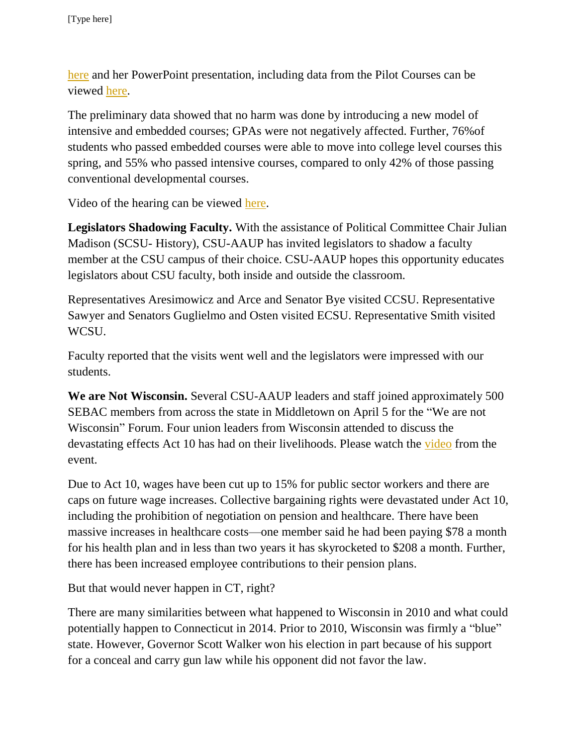[here](http://www.cga.ct.gov/2014/HEDdata/OD/Dr%20Elsa%20%20N%C3%BA%C3%B1ez%20remediation%20testimony%20March%2027%202014.pdf) and her PowerPoint presentation, including data from the Pilot Courses can be viewed [here.](http://www.cga.ct.gov/2014/HEDdata/OD/Dr%20Elsa%20Nunez%20PowerPoint%20remediation%20presentation%20March%2027%202014.pdf)

The preliminary data showed that no harm was done by introducing a new model of intensive and embedded courses; GPAs were not negatively affected. Further, 76%of students who passed embedded courses were able to move into college level courses this spring, and 55% who passed intensive courses, compared to only 42% of those passing conventional developmental courses.

Video of the hearing can be viewed [here.](http://www.ct-n.com/ctnplayer.asp?odID=10082)

**Legislators Shadowing Faculty.** With the assistance of Political Committee Chair Julian Madison (SCSU- History), CSU-AAUP has invited legislators to shadow a faculty member at the CSU campus of their choice. CSU-AAUP hopes this opportunity educates legislators about CSU faculty, both inside and outside the classroom.

Representatives Aresimowicz and Arce and Senator Bye visited CCSU. Representative Sawyer and Senators Guglielmo and Osten visited ECSU. Representative Smith visited WCSU.

Faculty reported that the visits went well and the legislators were impressed with our students.

**We are Not Wisconsin.** Several CSU-AAUP leaders and staff joined approximately 500 SEBAC members from across the state in Middletown on April 5 for the "We are not Wisconsin" Forum. Four union leaders from Wisconsin attended to discuss the devastating effects Act 10 has had on their livelihoods. Please watch the [video](https://www.youtube.com/watch?v=rnpuLEIiM-Q&feature=youtu.be) from the event.

Due to Act 10, wages have been cut up to 15% for public sector workers and there are caps on future wage increases. Collective bargaining rights were devastated under Act 10, including the prohibition of negotiation on pension and healthcare. There have been massive increases in healthcare costs—one member said he had been paying \$78 a month for his health plan and in less than two years it has skyrocketed to \$208 a month. Further, there has been increased employee contributions to their pension plans.

But that would never happen in CT, right?

There are many similarities between what happened to Wisconsin in 2010 and what could potentially happen to Connecticut in 2014. Prior to 2010, Wisconsin was firmly a "blue" state. However, Governor Scott Walker won his election in part because of his support for a conceal and carry gun law while his opponent did not favor the law.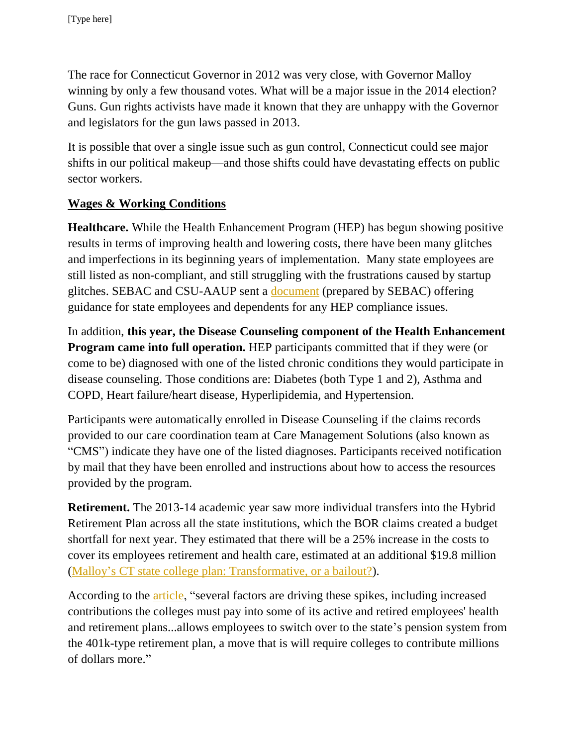The race for Connecticut Governor in 2012 was very close, with Governor Malloy winning by only a few thousand votes. What will be a major issue in the 2014 election? Guns. Gun rights activists have made it known that they are unhappy with the Governor and legislators for the gun laws passed in 2013.

It is possible that over a single issue such as gun control, Connecticut could see major shifts in our political makeup—and those shifts could have devastating effects on public sector workers.

# **Wages & Working Conditions**

**Healthcare.** While the Health Enhancement Program (HEP) has begun showing positive results in terms of improving health and lowering costs, there have been many glitches and imperfections in its beginning years of implementation. Many state employees are still listed as non-compliant, and still struggling with the frustrations caused by startup glitches. SEBAC and CSU-AAUP sent a [document](http://www.csuaaup.org/wp-content/uploads/2014/03/HEP-Compliance-Statement-March-7-2014.pdf) (prepared by SEBAC) offering guidance for state employees and dependents for any HEP compliance issues.

In addition, **this year, the Disease Counseling component of the Health Enhancement Program came into full operation.** HEP participants committed that if they were (or come to be) diagnosed with one of the listed chronic conditions they would participate in disease counseling. Those conditions are: Diabetes (both Type 1 and 2), Asthma and COPD, Heart failure/heart disease, Hyperlipidemia, and Hypertension.

Participants were automatically enrolled in Disease Counseling if the claims records provided to our care coordination team at Care Management Solutions (also known as "CMS") indicate they have one of the listed diagnoses. Participants received notification by mail that they have been enrolled and instructions about how to access the resources provided by the program.

**Retirement.** The 2013-14 academic year saw more individual transfers into the Hybrid Retirement Plan across all the state institutions, which the BOR claims created a budget shortfall for next year. They estimated that there will be a 25% increase in the costs to cover its employees retirement and health care, estimated at an additional \$19.8 million [\(Malloy's CT state college plan: Transformative, or a bailout?\)](http://ctmirror.org/malloys-ct-state-college-plan-transformative-or-a-bailout/).

According to the [article,](http://ctmirror.org/malloys-ct-state-college-plan-transformative-or-a-bailout/) "several factors are driving these spikes, including increased contributions the colleges must pay into some of its active and retired employees' health and retirement plans...allows employees to switch over to the state's pension system from the 401k-type retirement plan, a move that is will require colleges to contribute millions of dollars more."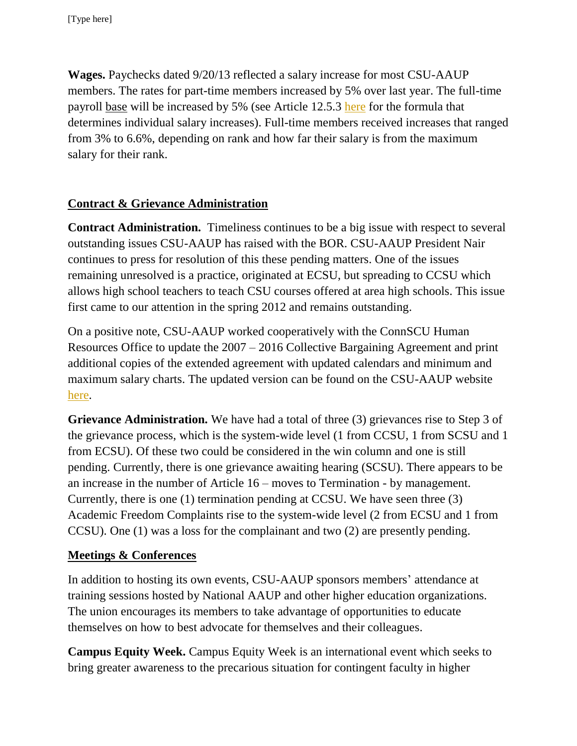**Wages.** Paychecks dated 9/20/13 reflected a salary increase for most CSU-AAUP members. The rates for part-time members increased by 5% over last year. The full-time payroll base will be increased by 5% (see Article 12.5.3 [here](http://www.csuaaup.org/wp-content/uploads/2011/06/CSUAAUP2011Modification.pdf) for the formula that determines individual salary increases). Full-time members received increases that ranged from 3% to 6.6%, depending on rank and how far their salary is from the maximum salary for their rank.

# **Contract & Grievance Administration**

**Contract Administration.** Timeliness continues to be a big issue with respect to several outstanding issues CSU-AAUP has raised with the BOR. CSU-AAUP President Nair continues to press for resolution of this these pending matters. One of the issues remaining unresolved is a practice, originated at ECSU, but spreading to CCSU which allows high school teachers to teach CSU courses offered at area high schools. This issue first came to our attention in the spring 2012 and remains outstanding.

On a positive note, CSU-AAUP worked cooperatively with the ConnSCU Human Resources Office to update the 2007 – 2016 Collective Bargaining Agreement and print additional copies of the extended agreement with updated calendars and minimum and maximum salary charts. The updated version can be found on the CSU-AAUP website [here.](http://www.csuaaup.org/wp-content/uploads/2010/07/AAUP-2007-2011ContractWithModifications.pdf)

**Grievance Administration.** We have had a total of three (3) grievances rise to Step 3 of the grievance process, which is the system-wide level (1 from CCSU, 1 from SCSU and 1 from ECSU). Of these two could be considered in the win column and one is still pending. Currently, there is one grievance awaiting hearing (SCSU). There appears to be an increase in the number of Article 16 – moves to Termination - by management. Currently, there is one (1) termination pending at CCSU. We have seen three (3) Academic Freedom Complaints rise to the system-wide level (2 from ECSU and 1 from CCSU). One (1) was a loss for the complainant and two (2) are presently pending.

## **Meetings & Conferences**

In addition to hosting its own events, CSU-AAUP sponsors members' attendance at training sessions hosted by National AAUP and other higher education organizations. The union encourages its members to take advantage of opportunities to educate themselves on how to best advocate for themselves and their colleagues.

**Campus Equity Week.** Campus Equity Week is an international event which seeks to bring greater awareness to the precarious situation for contingent faculty in higher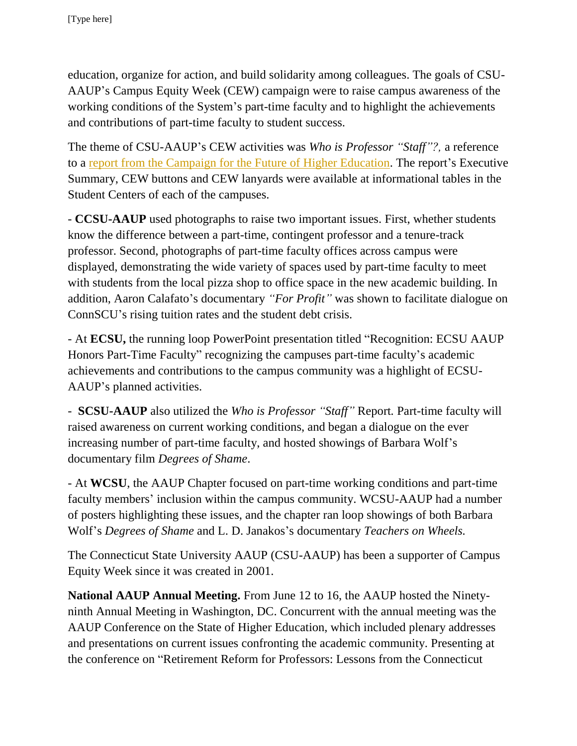education, organize for action, and build solidarity among colleagues. The goals of CSU-AAUP's Campus Equity Week (CEW) campaign were to raise campus awareness of the working conditions of the System's part-time faculty and to highlight the achievements and contributions of part-time faculty to student success.

The theme of CSU-AAUP's CEW activities was *Who is Professor "Staff"?,* a reference to a [report from the Campaign for the Future of Higher Education.](http://futureofhighered.org/policy-report-2/) The report's Executive Summary, CEW buttons and CEW lanyards were available at informational tables in the Student Centers of each of the campuses.

- **CCSU-AAUP** used photographs to raise two important issues. First, whether students know the difference between a part-time, contingent professor and a tenure-track professor. Second, photographs of part-time faculty offices across campus were displayed, demonstrating the wide variety of spaces used by part-time faculty to meet with students from the local pizza shop to office space in the new academic building. In addition, Aaron Calafato's documentary *"For Profit"* was shown to facilitate dialogue on ConnSCU's rising tuition rates and the student debt crisis.

- At **ECSU,** the running loop PowerPoint presentation titled "Recognition: ECSU AAUP Honors Part-Time Faculty" recognizing the campuses part-time faculty's academic achievements and contributions to the campus community was a highlight of ECSU-AAUP's planned activities.

- **SCSU-AAUP** also utilized the *Who is Professor "Staff"* Report*.* Part-time faculty will raised awareness on current working conditions, and began a dialogue on the ever increasing number of part-time faculty, and hosted showings of Barbara Wolf's documentary film *Degrees of Shame*.

- At **WCSU**, the AAUP Chapter focused on part-time working conditions and part-time faculty members' inclusion within the campus community. WCSU-AAUP had a number of posters highlighting these issues, and the chapter ran loop showings of both Barbara Wolf's *Degrees of Shame* and L. D. Janakos's documentary *Teachers on Wheels.*

The Connecticut State University AAUP (CSU-AAUP) has been a supporter of Campus Equity Week since it was created in 2001.

**National AAUP Annual Meeting.** From June 12 to 16, the AAUP hosted the Ninetyninth Annual Meeting in Washington, DC. Concurrent with the annual meeting was the AAUP Conference on the State of Higher Education, which included plenary addresses and presentations on current issues confronting the academic community. Presenting at the conference on "Retirement Reform for Professors: Lessons from the Connecticut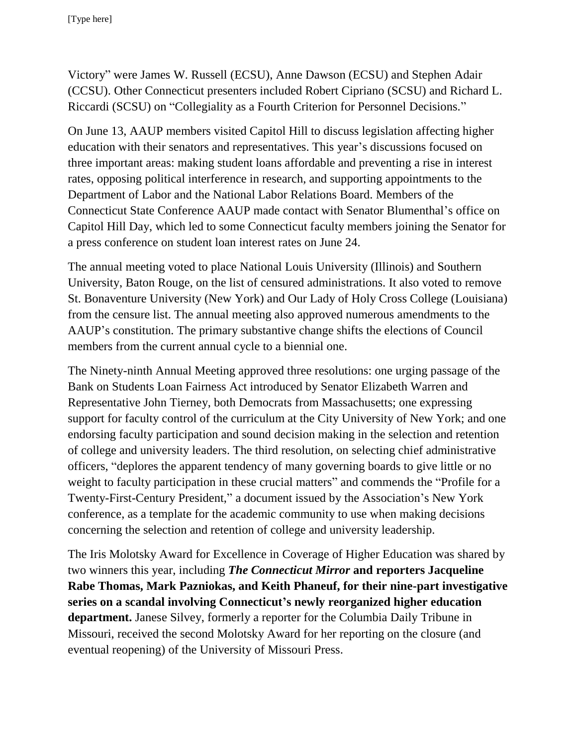Victory" were James W. Russell (ECSU), Anne Dawson (ECSU) and Stephen Adair (CCSU). Other Connecticut presenters included Robert Cipriano (SCSU) and Richard L. Riccardi (SCSU) on "Collegiality as a Fourth Criterion for Personnel Decisions."

On June 13, AAUP members visited Capitol Hill to discuss legislation affecting higher education with their senators and representatives. This year's discussions focused on three important areas: making student loans affordable and preventing a rise in interest rates, opposing political interference in research, and supporting appointments to the Department of Labor and the National Labor Relations Board. Members of the Connecticut State Conference AAUP made contact with Senator Blumenthal's office on Capitol Hill Day, which led to some Connecticut faculty members joining the Senator for a press conference on student loan interest rates on June 24.

The annual meeting voted to place National Louis University (Illinois) and Southern University, Baton Rouge, on the list of censured administrations. It also voted to remove St. Bonaventure University (New York) and Our Lady of Holy Cross College (Louisiana) from the censure list. The annual meeting also approved numerous amendments to the AAUP's constitution. The primary substantive change shifts the elections of Council members from the current annual cycle to a biennial one.

The Ninety-ninth Annual Meeting approved three resolutions: one urging passage of the Bank on Students Loan Fairness Act introduced by Senator Elizabeth Warren and Representative John Tierney, both Democrats from Massachusetts; one expressing support for faculty control of the curriculum at the City University of New York; and one endorsing faculty participation and sound decision making in the selection and retention of college and university leaders. The third resolution, on selecting chief administrative officers, "deplores the apparent tendency of many governing boards to give little or no weight to faculty participation in these crucial matters" and commends the "Profile for a Twenty-First-Century President," a document issued by the Association's New York conference, as a template for the academic community to use when making decisions concerning the selection and retention of college and university leadership.

The Iris Molotsky Award for Excellence in Coverage of Higher Education was shared by two winners this year, including *The Connecticut Mirror* **and reporters Jacqueline Rabe Thomas, Mark Pazniokas, and Keith Phaneuf, for their nine-part investigative series on a scandal involving Connecticut's newly reorganized higher education department.** Janese Silvey, formerly a reporter for the Columbia Daily Tribune in Missouri, received the second Molotsky Award for her reporting on the closure (and eventual reopening) of the University of Missouri Press.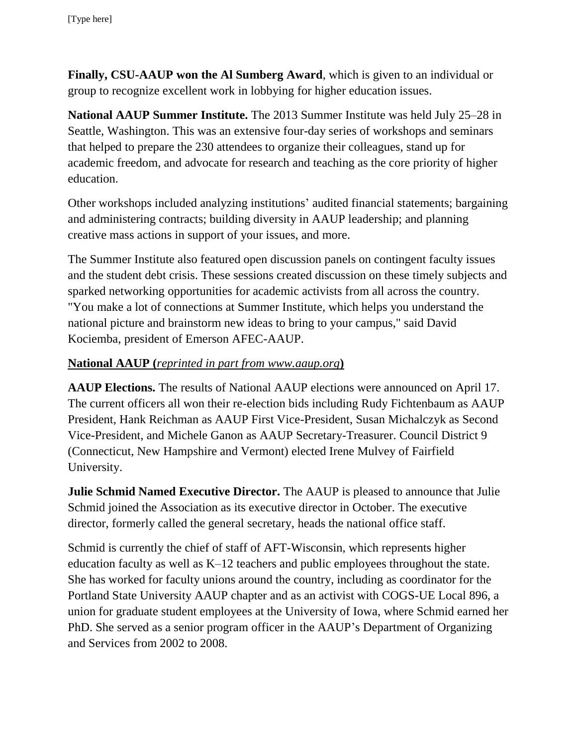**Finally, CSU-AAUP won the Al Sumberg Award**, which is given to an individual or group to recognize excellent work in lobbying for higher education issues.

**National AAUP Summer Institute.** The 2013 Summer Institute was held July 25–28 in Seattle, Washington. This was an extensive four-day series of workshops and seminars that helped to prepare the 230 attendees to organize their colleagues, stand up for academic freedom, and advocate for research and teaching as the core priority of higher education.

Other workshops included analyzing institutions' audited financial statements; bargaining and administering contracts; building diversity in AAUP leadership; and planning creative mass actions in support of your issues, and more.

The Summer Institute also featured open discussion panels on contingent faculty issues and the student debt crisis. These sessions created discussion on these timely subjects and sparked networking opportunities for academic activists from all across the country. "You make a lot of connections at Summer Institute, which helps you understand the national picture and brainstorm new ideas to bring to your campus," said David Kociemba, president of Emerson AFEC-AAUP.

## **National AAUP (***reprinted in part from www.aaup.org***)**

**AAUP Elections.** The results of National AAUP elections were announced on April 17. The current officers all won their re-election bids including Rudy Fichtenbaum as AAUP President, Hank Reichman as AAUP First Vice-President, Susan Michalczyk as Second Vice-President, and Michele Ganon as AAUP Secretary-Treasurer. Council District 9 (Connecticut, New Hampshire and Vermont) elected Irene Mulvey of Fairfield University.

**Julie Schmid Named Executive Director.** The AAUP is pleased to announce that Julie Schmid joined the Association as its executive director in October. The executive director, formerly called the general secretary, heads the national office staff.

Schmid is currently the chief of staff of AFT-Wisconsin, which represents higher education faculty as well as K–12 teachers and public employees throughout the state. She has worked for faculty unions around the country, including as coordinator for the Portland State University AAUP chapter and as an activist with COGS-UE Local 896, a union for graduate student employees at the University of Iowa, where Schmid earned her PhD. She served as a senior program officer in the AAUP's Department of Organizing and Services from 2002 to 2008.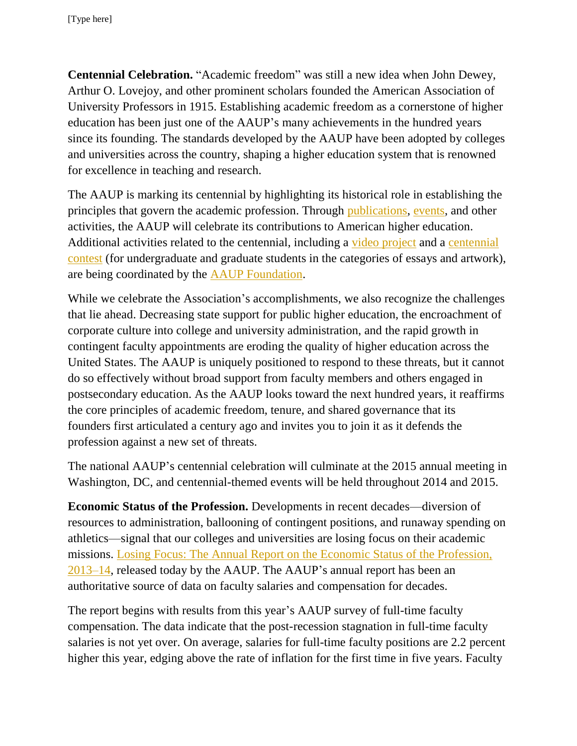**Centennial Celebration.** "Academic freedom" was still a new idea when John Dewey, Arthur O. Lovejoy, and other prominent scholars founded the American Association of University Professors in 1915. Establishing academic freedom as a cornerstone of higher education has been just one of the AAUP's many achievements in the hundred years since its founding. The standards developed by the AAUP have been adopted by colleges and universities across the country, shaping a higher education system that is renowned for excellence in teaching and research.

The AAUP is marking its centennial by highlighting its historical role in establishing the principles that govern the academic profession. Through [publications,](http://www.aaup.org/about/centennial/centennial-publications) [events,](http://www.aaup.org/about/centennial/celebrating-the-centennial) and other activities, the AAUP will celebrate its contributions to American higher education. Additional activities related to the centennial, including a [video project](http://www.aaupfoundation.org/centennial/centennial-interview-project) and a centennial [contest](http://www.aaupfoundation.org/centennial/centennial-contest) (for undergraduate and graduate students in the categories of essays and artwork), are being coordinated by the [AAUP Foundation.](http://www.aaupfoundation.org/)

While we celebrate the Association's accomplishments, we also recognize the challenges that lie ahead. Decreasing state support for public higher education, the encroachment of corporate culture into college and university administration, and the rapid growth in contingent faculty appointments are eroding the quality of higher education across the United States. The AAUP is uniquely positioned to respond to these threats, but it cannot do so effectively without broad support from faculty members and others engaged in postsecondary education. As the AAUP looks toward the next hundred years, it reaffirms the core principles of academic freedom, tenure, and shared governance that its founders first articulated a century ago and invites you to join it as it defends the profession against a new set of threats.

The national AAUP's centennial celebration will culminate at the 2015 annual meeting in Washington, DC, and centennial-themed events will be held throughout 2014 and 2015.

**Economic Status of the Profession.** Developments in recent decades—diversion of resources to administration, ballooning of contingent positions, and runaway spending on athletics—signal that our colleges and universities are losing focus on their academic missions. [Losing Focus: The Annual Report on the Economic Status of the Profession,](http://www.aaup.org/reports-publications/2013-14salarysurvey)  [2013–14,](http://www.aaup.org/reports-publications/2013-14salarysurvey) released today by the AAUP. The AAUP's annual report has been an authoritative source of data on faculty salaries and compensation for decades.

The report begins with results from this year's AAUP survey of full-time faculty compensation. The data indicate that the post-recession stagnation in full-time faculty salaries is not yet over. On average, salaries for full-time faculty positions are 2.2 percent higher this year, edging above the rate of inflation for the first time in five years. Faculty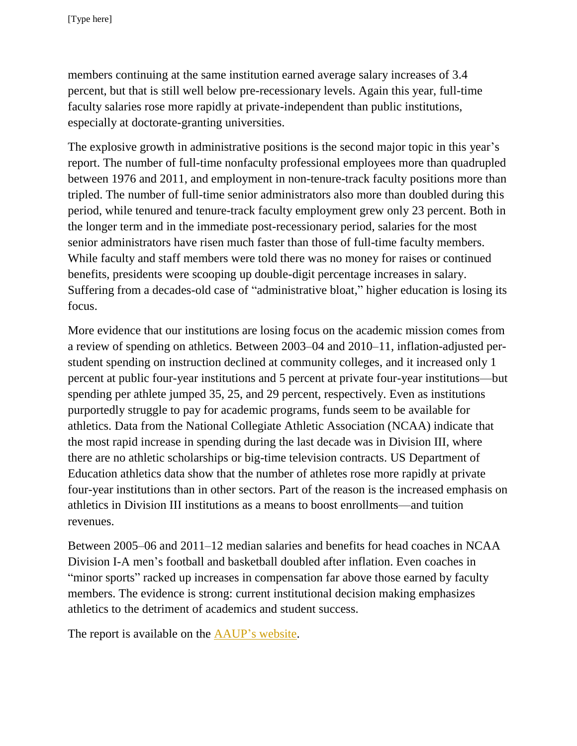members continuing at the same institution earned average salary increases of 3.4 percent, but that is still well below pre-recessionary levels. Again this year, full-time faculty salaries rose more rapidly at private-independent than public institutions, especially at doctorate-granting universities.

The explosive growth in administrative positions is the second major topic in this year's report. The number of full-time nonfaculty professional employees more than quadrupled between 1976 and 2011, and employment in non-tenure-track faculty positions more than tripled. The number of full-time senior administrators also more than doubled during this period, while tenured and tenure-track faculty employment grew only 23 percent. Both in the longer term and in the immediate post-recessionary period, salaries for the most senior administrators have risen much faster than those of full-time faculty members. While faculty and staff members were told there was no money for raises or continued benefits, presidents were scooping up double-digit percentage increases in salary. Suffering from a decades-old case of "administrative bloat," higher education is losing its focus.

More evidence that our institutions are losing focus on the academic mission comes from a review of spending on athletics. Between 2003–04 and 2010–11, inflation-adjusted perstudent spending on instruction declined at community colleges, and it increased only 1 percent at public four-year institutions and 5 percent at private four-year institutions—but spending per athlete jumped 35, 25, and 29 percent, respectively. Even as institutions purportedly struggle to pay for academic programs, funds seem to be available for athletics. Data from the National Collegiate Athletic Association (NCAA) indicate that the most rapid increase in spending during the last decade was in Division III, where there are no athletic scholarships or big-time television contracts. US Department of Education athletics data show that the number of athletes rose more rapidly at private four-year institutions than in other sectors. Part of the reason is the increased emphasis on athletics in Division III institutions as a means to boost enrollments—and tuition revenues.

Between 2005–06 and 2011–12 median salaries and benefits for head coaches in NCAA Division I-A men's football and basketball doubled after inflation. Even coaches in "minor sports" racked up increases in compensation far above those earned by faculty members. The evidence is strong: current institutional decision making emphasizes athletics to the detriment of academics and student success.

The report is available on the [AAUP's website.](http://www.aaup.org/)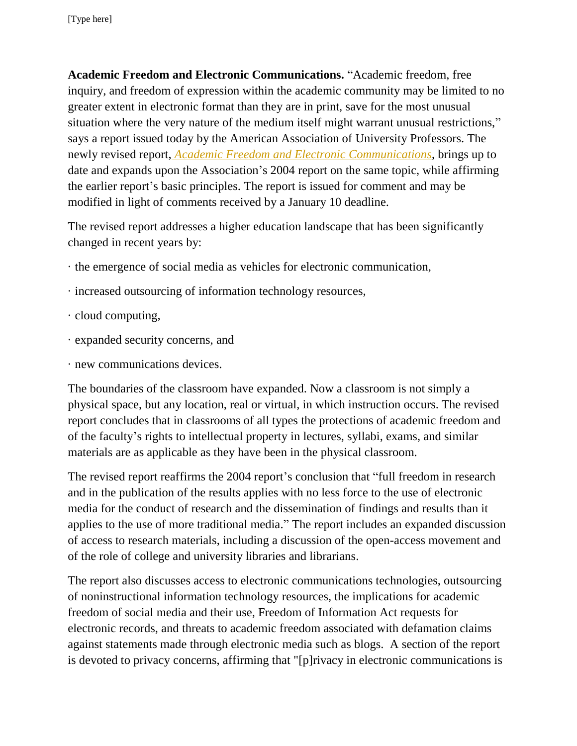**Academic Freedom and Electronic Communications.** "Academic freedom, free inquiry, and freedom of expression within the academic community may be limited to no greater extent in electronic format than they are in print, save for the most unusual situation where the very nature of the medium itself might warrant unusual restrictions," says a report issued today by the American Association of University Professors. The newly revised report, *[Academic Freedom and Electronic Communications](http://www.aaup.org/report/academic-freedom-and-electronic-communications-2013)*, brings up to date and expands upon the Association's 2004 report on the same topic, while affirming the earlier report's basic principles. The report is issued for comment and may be modified in light of comments received by a January 10 deadline.

The revised report addresses a higher education landscape that has been significantly changed in recent years by:

- · the emergence of social media as vehicles for electronic communication,
- · increased outsourcing of information technology resources,
- · cloud computing,
- · expanded security concerns, and
- · new communications devices.

The boundaries of the classroom have expanded. Now a classroom is not simply a physical space, but any location, real or virtual, in which instruction occurs. The revised report concludes that in classrooms of all types the protections of academic freedom and of the faculty's rights to intellectual property in lectures, syllabi, exams, and similar materials are as applicable as they have been in the physical classroom.

The revised report reaffirms the 2004 report's conclusion that "full freedom in research and in the publication of the results applies with no less force to the use of electronic media for the conduct of research and the dissemination of findings and results than it applies to the use of more traditional media." The report includes an expanded discussion of access to research materials, including a discussion of the open-access movement and of the role of college and university libraries and librarians.

The report also discusses access to electronic communications technologies, outsourcing of noninstructional information technology resources, the implications for academic freedom of social media and their use, Freedom of Information Act requests for electronic records, and threats to academic freedom associated with defamation claims against statements made through electronic media such as blogs. A section of the report is devoted to privacy concerns, affirming that "[p]rivacy in electronic communications is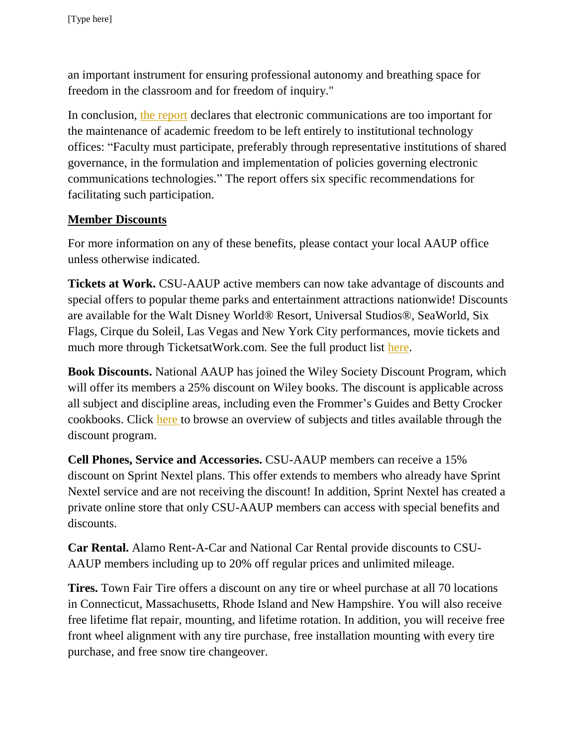an important instrument for ensuring professional autonomy and breathing space for freedom in the classroom and for freedom of inquiry."

In conclusion, [the report](http://www.aaup.org/report/academic-freedom-and-electronic-communications-2013) declares that electronic communications are too important for the maintenance of academic freedom to be left entirely to institutional technology offices: "Faculty must participate, preferably through representative institutions of shared governance, in the formulation and implementation of policies governing electronic communications technologies." The report offers six specific recommendations for facilitating such participation.

# **Member Discounts**

For more information on any of these benefits, please contact your local AAUP office unless otherwise indicated.

**Tickets at Work.** CSU-AAUP active members can now take advantage of discounts and special offers to popular theme parks and entertainment attractions nationwide! Discounts are available for the Walt Disney World® Resort, Universal Studios®, SeaWorld, Six Flags, Cirque du Soleil, Las Vegas and New York City performances, movie tickets and much more through TicketsatWork.com. See the full product list [here.](http://www.csuaaup.org/wp-content/uploads/2010/07/TAWproductlist2012.pdf)

**Book Discounts.** National AAUP has joined the Wiley Society Discount Program, which will offer its members a 25% discount on Wiley books. The discount is applicable across all subject and discipline areas, including even the Frommer's Guides and Betty Crocker cookbooks. Click [here t](http://lyris.eresources.com:81/t/5286380/5600656/1876/0/)o browse an overview of subjects and titles available through the discount program.

**Cell Phones, Service and Accessories.** CSU-AAUP members can receive a 15% discount on Sprint Nextel plans. This offer extends to members who already have Sprint Nextel service and are not receiving the discount! In addition, Sprint Nextel has created a private online store that only CSU-AAUP members can access with special benefits and discounts.

**Car Rental.** Alamo Rent-A-Car and National Car Rental provide discounts to CSU-AAUP members including up to 20% off regular prices and unlimited mileage.

**Tires.** Town Fair Tire offers a discount on any tire or wheel purchase at all 70 locations in Connecticut, Massachusetts, Rhode Island and New Hampshire. You will also receive free lifetime flat repair, mounting, and lifetime rotation. In addition, you will receive free front wheel alignment with any tire purchase, free installation mounting with every tire purchase, and free snow tire changeover.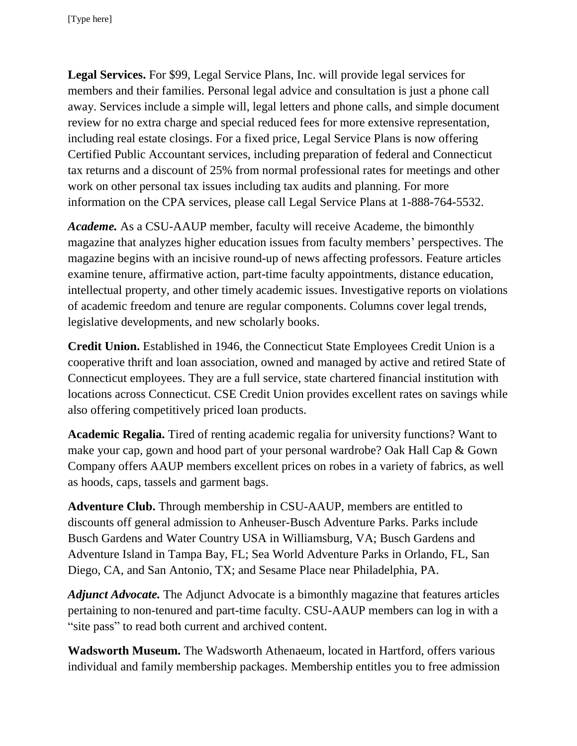**Legal Services.** For \$99, Legal Service Plans, Inc. will provide legal services for members and their families. Personal legal advice and consultation is just a phone call away. Services include a simple will, legal letters and phone calls, and simple document review for no extra charge and special reduced fees for more extensive representation, including real estate closings. For a fixed price, Legal Service Plans is now offering Certified Public Accountant services, including preparation of federal and Connecticut tax returns and a discount of 25% from normal professional rates for meetings and other work on other personal tax issues including tax audits and planning. For more information on the CPA services, please call Legal Service Plans at 1-888-764-5532.

*Academe.* As a CSU-AAUP member, faculty will receive Academe, the bimonthly magazine that analyzes higher education issues from faculty members' perspectives. The magazine begins with an incisive round-up of news affecting professors. Feature articles examine tenure, affirmative action, part-time faculty appointments, distance education, intellectual property, and other timely academic issues. Investigative reports on violations of academic freedom and tenure are regular components. Columns cover legal trends, legislative developments, and new scholarly books.

**Credit Union.** Established in 1946, the Connecticut State Employees Credit Union is a cooperative thrift and loan association, owned and managed by active and retired State of Connecticut employees. They are a full service, state chartered financial institution with locations across Connecticut. CSE Credit Union provides excellent rates on savings while also offering competitively priced loan products.

**Academic Regalia.** Tired of renting academic regalia for university functions? Want to make your cap, gown and hood part of your personal wardrobe? Oak Hall Cap & Gown Company offers AAUP members excellent prices on robes in a variety of fabrics, as well as hoods, caps, tassels and garment bags.

**Adventure Club.** Through membership in CSU-AAUP, members are entitled to discounts off general admission to Anheuser-Busch Adventure Parks. Parks include Busch Gardens and Water Country USA in Williamsburg, VA; Busch Gardens and Adventure Island in Tampa Bay, FL; Sea World Adventure Parks in Orlando, FL, San Diego, CA, and San Antonio, TX; and Sesame Place near Philadelphia, PA.

*Adjunct Advocate.* The Adjunct Advocate is a bimonthly magazine that features articles pertaining to non-tenured and part-time faculty. CSU-AAUP members can log in with a "site pass" to read both current and archived content.

**Wadsworth Museum.** The Wadsworth Athenaeum, located in Hartford, offers various individual and family membership packages. Membership entitles you to free admission